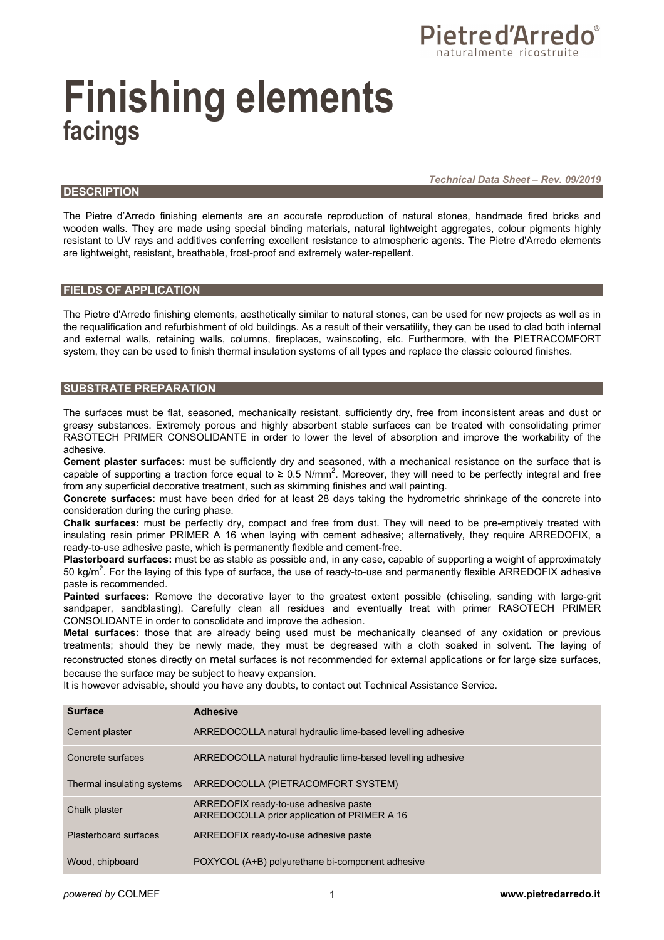

# **Finishing elements facings**

*Technical Data Sheet – Rev. 09/2019* 

### **DESCRIPTION**

The Pietre d'Arredo finishing elements are an accurate reproduction of natural stones, handmade fired bricks and wooden walls. They are made using special binding materials, natural lightweight aggregates, colour pigments highly resistant to UV rays and additives conferring excellent resistance to atmospheric agents. The Pietre d'Arredo elements are lightweight, resistant, breathable, frost-proof and extremely water-repellent.

## **FIELDS OF APPLICATION**

The Pietre d'Arredo finishing elements, aesthetically similar to natural stones, can be used for new projects as well as in the requalification and refurbishment of old buildings. As a result of their versatility, they can be used to clad both internal and external walls, retaining walls, columns, fireplaces, wainscoting, etc. Furthermore, with the PIETRACOMFORT system, they can be used to finish thermal insulation systems of all types and replace the classic coloured finishes.

## **SUBSTRATE PREPARATION**

The surfaces must be flat, seasoned, mechanically resistant, sufficiently dry, free from inconsistent areas and dust or greasy substances. Extremely porous and highly absorbent stable surfaces can be treated with consolidating primer RASOTECH PRIMER CONSOLIDANTE in order to lower the level of absorption and improve the workability of the adhesive.

**Cement plaster surfaces:** must be sufficiently dry and seasoned, with a mechanical resistance on the surface that is capable of supporting a traction force equal to  $\geq 0.5$  N/mm<sup>2</sup>. Moreover, they will need to be perfectly integral and free from any superficial decorative treatment, such as skimming finishes and wall painting.

**Concrete surfaces:** must have been dried for at least 28 days taking the hydrometric shrinkage of the concrete into consideration during the curing phase.

**Chalk surfaces:** must be perfectly dry, compact and free from dust. They will need to be pre-emptively treated with insulating resin primer PRIMER A 16 when laying with cement adhesive; alternatively, they require ARREDOFIX, a ready-to-use adhesive paste, which is permanently flexible and cement-free.

**Plasterboard surfaces:** must be as stable as possible and, in any case, capable of supporting a weight of approximately 50 kg/ $m^2$ . For the laying of this type of surface, the use of ready-to-use and permanently flexible ARREDOFIX adhesive paste is recommended.

Painted surfaces: Remove the decorative layer to the greatest extent possible (chiseling, sanding with large-grit sandpaper, sandblasting). Carefully clean all residues and eventually treat with primer RASOTECH PRIMER CONSOLIDANTE in order to consolidate and improve the adhesion.

**Metal surfaces:** those that are already being used must be mechanically cleansed of any oxidation or previous treatments; should they be newly made, they must be degreased with a cloth soaked in solvent. The laying of reconstructed stones directly on metal surfaces is not recommended for external applications or for large size surfaces, because the surface may be subject to heavy expansion.

It is however advisable, should you have any doubts, to contact out Technical Assistance Service.

| <b>Surface</b>             | <b>Adhesive</b>                                                                       |  |
|----------------------------|---------------------------------------------------------------------------------------|--|
| Cement plaster             | ARREDOCOLLA natural hydraulic lime-based levelling adhesive                           |  |
| Concrete surfaces          | ARREDOCOLLA natural hydraulic lime-based levelling adhesive                           |  |
| Thermal insulating systems | ARREDOCOLLA (PIETRACOMFORT SYSTEM)                                                    |  |
| Chalk plaster              | ARREDOFIX ready-to-use adhesive paste<br>ARREDOCOLLA prior application of PRIMER A 16 |  |
| Plasterboard surfaces      | ARREDOFIX ready-to-use adhesive paste                                                 |  |
| Wood, chipboard            | POXYCOL (A+B) polyurethane bi-component adhesive                                      |  |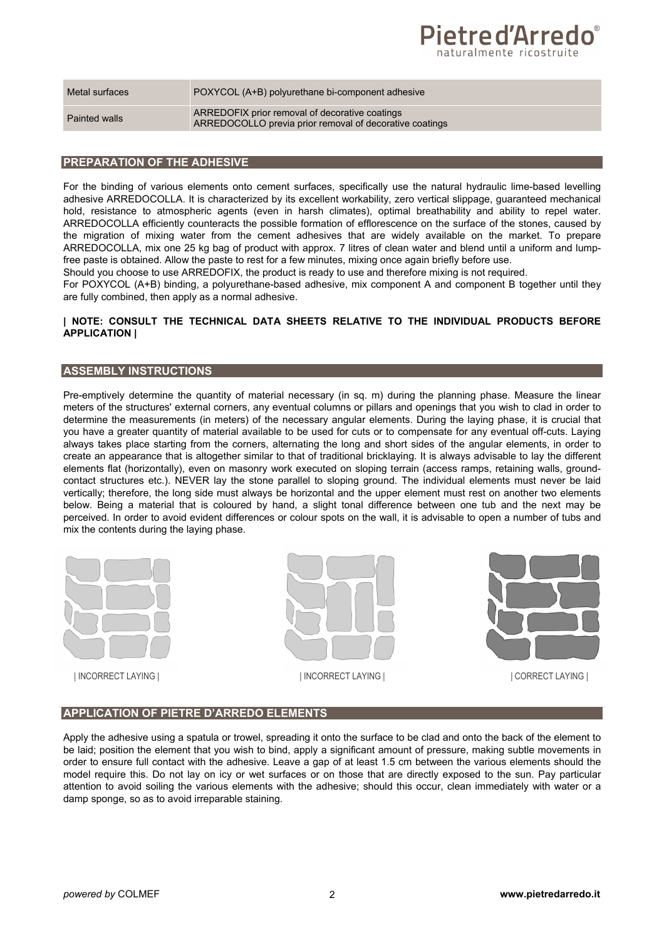

| Metal surfaces       | POXYCOL (A+B) polyurethane bi-component adhesive                                                          |
|----------------------|-----------------------------------------------------------------------------------------------------------|
| <b>Painted walls</b> | ARREDOFIX prior removal of decorative coatings<br>ARREDOCOLLO previa prior removal of decorative coatings |

## **PREPARATION OF THE ADHESIVE**

For the binding of various elements onto cement surfaces, specifically use the natural hydraulic lime-based levelling adhesive ARREDOCOLLA. It is characterized by its excellent workability, zero vertical slippage, guaranteed mechanical hold, resistance to atmospheric agents (even in harsh climates), optimal breathability and ability to repel water. ARREDOCOLLA efficiently counteracts the possible formation of efflorescence on the surface of the stones, caused by the migration of mixing water from the cement adhesives that are widely available on the market. To prepare ARREDOCOLLA, mix one 25 kg bag of product with approx. 7 litres of clean water and blend until a uniform and lumpfree paste is obtained. Allow the paste to rest for a few minutes, mixing once again briefly before use.

Should you choose to use ARREDOFIX, the product is ready to use and therefore mixing is not required.

For POXYCOL (A+B) binding, a polyurethane-based adhesive, mix component A and component B together until they are fully combined, then apply as a normal adhesive.

## **| NOTE: CONSULT THE TECHNICAL DATA SHEETS RELATIVE TO THE INDIVIDUAL PRODUCTS BEFORE APPLICATION |**

## **ASSEMBLY INSTRUCTIONS**

Pre-emptively determine the quantity of material necessary (in sq. m) during the planning phase. Measure the linear meters of the structures' external corners, any eventual columns or pillars and openings that you wish to clad in order to determine the measurements (in meters) of the necessary angular elements. During the laying phase, it is crucial that you have a greater quantity of material available to be used for cuts or to compensate for any eventual off-cuts. Laying always takes place starting from the corners, alternating the long and short sides of the angular elements, in order to create an appearance that is altogether similar to that of traditional bricklaying. It is always advisable to lay the different elements flat (horizontally), even on masonry work executed on sloping terrain (access ramps, retaining walls, groundcontact structures etc.). NEVER lay the stone parallel to sloping ground. The individual elements must never be laid vertically; therefore, the long side must always be horizontal and the upper element must rest on another two elements below. Being a material that is coloured by hand, a slight tonal difference between one tub and the next may be perceived. In order to avoid evident differences or colour spots on the wall, it is advisable to open a number of tubs and mix the contents during the laying phase.







## **APPLICATION OF PIETRE D'ARREDO ELEMENTS**

Apply the adhesive using a spatula or trowel, spreading it onto the surface to be clad and onto the back of the element to be laid; position the element that you wish to bind, apply a significant amount of pressure, making subtle movements in order to ensure full contact with the adhesive. Leave a gap of at least 1.5 cm between the various elements should the model require this. Do not lay on icy or wet surfaces or on those that are directly exposed to the sun. Pay particular attention to avoid soiling the various elements with the adhesive; should this occur, clean immediately with water or a damp sponge, so as to avoid irreparable staining.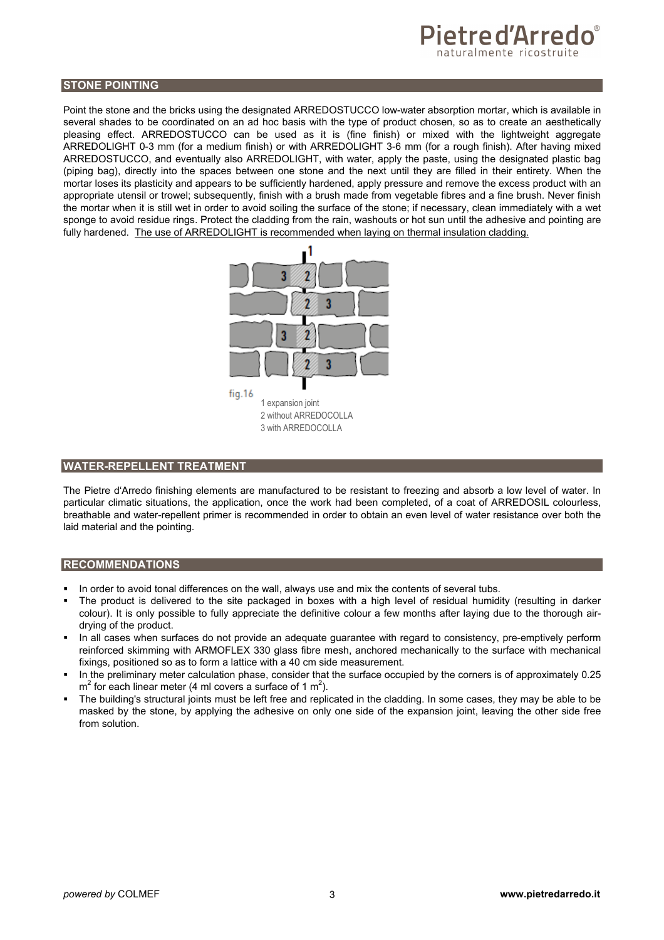

## **STONE POINTING**

Point the stone and the bricks using the designated ARREDOSTUCCO low-water absorption mortar, which is available in several shades to be coordinated on an ad hoc basis with the type of product chosen, so as to create an aesthetically pleasing effect. ARREDOSTUCCO can be used as it is (fine finish) or mixed with the lightweight aggregate ARREDOLIGHT 0-3 mm (for a medium finish) or with ARREDOLIGHT 3-6 mm (for a rough finish). After having mixed ARREDOSTUCCO, and eventually also ARREDOLIGHT, with water, apply the paste, using the designated plastic bag (piping bag), directly into the spaces between one stone and the next until they are filled in their entirety. When the mortar loses its plasticity and appears to be sufficiently hardened, apply pressure and remove the excess product with an appropriate utensil or trowel; subsequently, finish with a brush made from vegetable fibres and a fine brush. Never finish the mortar when it is still wet in order to avoid soiling the surface of the stone; if necessary, clean immediately with a wet sponge to avoid residue rings. Protect the cladding from the rain, washouts or hot sun until the adhesive and pointing are fully hardened. The use of ARREDOLIGHT is recommended when laying on thermal insulation cladding.



## **WATER-REPELLENT TREATMENT**

The Pietre d'Arredo finishing elements are manufactured to be resistant to freezing and absorb a low level of water. In particular climatic situations, the application, once the work had been completed, of a coat of ARREDOSIL colourless, breathable and water-repellent primer is recommended in order to obtain an even level of water resistance over both the laid material and the pointing.

#### **RECOMMENDATIONS**

- In order to avoid tonal differences on the wall, always use and mix the contents of several tubs.
- The product is delivered to the site packaged in boxes with a high level of residual humidity (resulting in darker colour). It is only possible to fully appreciate the definitive colour a few months after laying due to the thorough airdrying of the product.
- In all cases when surfaces do not provide an adequate guarantee with regard to consistency, pre-emptively perform reinforced skimming with ARMOFLEX 330 glass fibre mesh, anchored mechanically to the surface with mechanical fixings, positioned so as to form a lattice with a 40 cm side measurement.
- In the preliminary meter calculation phase, consider that the surface occupied by the corners is of approximately 0.25  $m^2$  for each linear meter (4 ml covers a surface of 1 m<sup>2</sup>).
- The building's structural joints must be left free and replicated in the cladding. In some cases, they may be able to be masked by the stone, by applying the adhesive on only one side of the expansion joint, leaving the other side free from solution.